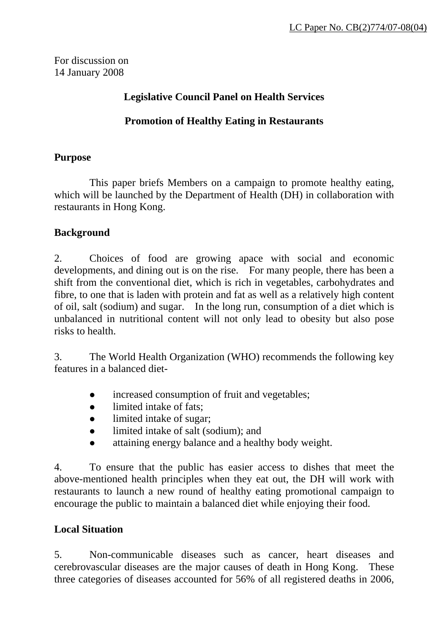For discussion on 14 January 2008

## **Legislative Council Panel on Health Services**

#### **Promotion of Healthy Eating in Restaurants**

#### **Purpose**

 This paper briefs Members on a campaign to promote healthy eating, which will be launched by the Department of Health (DH) in collaboration with restaurants in Hong Kong.

## **Background**

2. Choices of food are growing apace with social and economic developments, and dining out is on the rise. For many people, there has been a shift from the conventional diet, which is rich in vegetables, carbohydrates and fibre, to one that is laden with protein and fat as well as a relatively high content of oil, salt (sodium) and sugar. In the long run, consumption of a diet which is unbalanced in nutritional content will not only lead to obesity but also pose risks to health.

3. The World Health Organization (WHO) recommends the following key features in a balanced diet-

- increased consumption of fruit and vegetables;
- limited intake of fats:
- limited intake of sugar;
- limited intake of salt (sodium); and
- $\bullet$  attaining energy balance and a healthy body weight.

4. To ensure that the public has easier access to dishes that meet the above-mentioned health principles when they eat out, the DH will work with restaurants to launch a new round of healthy eating promotional campaign to encourage the public to maintain a balanced diet while enjoying their food.

## **Local Situation**

5. Non-communicable diseases such as cancer, heart diseases and cerebrovascular diseases are the major causes of death in Hong Kong. These three categories of diseases accounted for 56% of all registered deaths in 2006,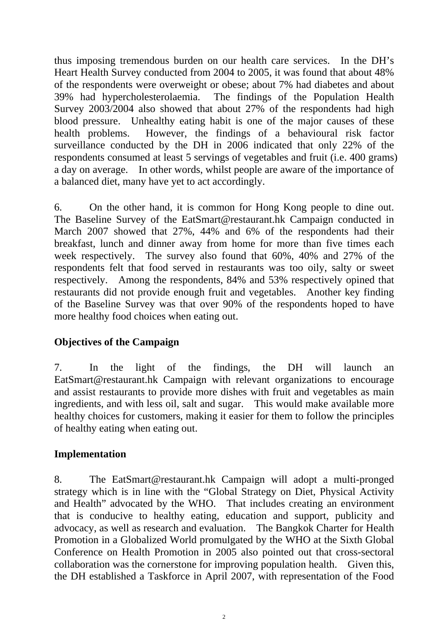thus imposing tremendous burden on our health care services. In the DH's Heart Health Survey conducted from 2004 to 2005, it was found that about 48% of the respondents were overweight or obese; about 7% had diabetes and about 39% had hypercholesterolaemia. The findings of the Population Health Survey 2003/2004 also showed that about 27% of the respondents had high blood pressure. Unhealthy eating habit is one of the major causes of these health problems. However, the findings of a behavioural risk factor surveillance conducted by the DH in 2006 indicated that only 22% of the respondents consumed at least 5 servings of vegetables and fruit (i.e. 400 grams) a day on average. In other words, whilst people are aware of the importance of a balanced diet, many have yet to act accordingly.

6. On the other hand, it is common for Hong Kong people to dine out. The Baseline Survey of the EatSmart@restaurant.hk Campaign conducted in March 2007 showed that 27%, 44% and 6% of the respondents had their breakfast, lunch and dinner away from home for more than five times each week respectively. The survey also found that 60%, 40% and 27% of the respondents felt that food served in restaurants was too oily, salty or sweet respectively. Among the respondents, 84% and 53% respectively opined that restaurants did not provide enough fruit and vegetables. Another key finding of the Baseline Survey was that over 90% of the respondents hoped to have more healthy food choices when eating out.

## **Objectives of the Campaign**

7. In the light of the findings, the DH will launch an EatSmart@restaurant.hk Campaign with relevant organizations to encourage and assist restaurants to provide more dishes with fruit and vegetables as main ingredients, and with less oil, salt and sugar. This would make available more healthy choices for customers, making it easier for them to follow the principles of healthy eating when eating out.

#### **Implementation**

8. The EatSmart@restaurant.hk Campaign will adopt a multi-pronged strategy which is in line with the "Global Strategy on Diet, Physical Activity and Health" advocated by the WHO. That includes creating an environment that is conducive to healthy eating, education and support, publicity and advocacy, as well as research and evaluation. The Bangkok Charter for Health Promotion in a Globalized World promulgated by the WHO at the Sixth Global Conference on Health Promotion in 2005 also pointed out that cross-sectoral collaboration was the cornerstone for improving population health. Given this, the DH established a Taskforce in April 2007, with representation of the Food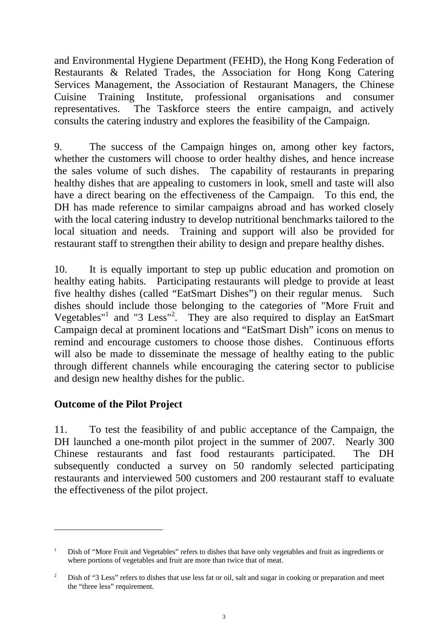and Environmental Hygiene Department (FEHD), the Hong Kong Federation of Restaurants & Related Trades, the Association for Hong Kong Catering Services Management, the Association of Restaurant Managers, the Chinese Cuisine Training Institute, professional organisations and consumer representatives. The Taskforce steers the entire campaign, and actively consults the catering industry and explores the feasibility of the Campaign.

9. The success of the Campaign hinges on, among other key factors, whether the customers will choose to order healthy dishes, and hence increase the sales volume of such dishes. The capability of restaurants in preparing healthy dishes that are appealing to customers in look, smell and taste will also have a direct bearing on the effectiveness of the Campaign. To this end, the DH has made reference to similar campaigns abroad and has worked closely with the local catering industry to develop nutritional benchmarks tailored to the local situation and needs. Training and support will also be provided for restaurant staff to strengthen their ability to design and prepare healthy dishes.

10. It is equally important to step up public education and promotion on healthy eating habits. Participating restaurants will pledge to provide at least five healthy dishes (called "EatSmart Dishes") on their regular menus. Such dishes should include those belonging to the categories of "More Fruit and Vegetables"<sup>[1](#page-2-0)</sup> and "3 Less"<sup>[2](#page-2-1)</sup>. They are also required to display an EatSmart Campaign decal at prominent locations and "EatSmart Dish" icons on menus to remind and encourage customers to choose those dishes. Continuous efforts will also be made to disseminate the message of healthy eating to the public through different channels while encouraging the catering sector to publicise and design new healthy dishes for the public.

# **Outcome of the Pilot Project**

 $\overline{a}$ 

11. To test the feasibility of and public acceptance of the Campaign, the DH launched a one-month pilot project in the summer of 2007. Nearly 300 Chinese restaurants and fast food restaurants participated. The DH subsequently conducted a survey on 50 randomly selected participating restaurants and interviewed 500 customers and 200 restaurant staff to evaluate the effectiveness of the pilot project.

<span id="page-2-0"></span><sup>1</sup> Dish of "More Fruit and Vegetables" refers to dishes that have only vegetables and fruit as ingredients or where portions of vegetables and fruit are more than twice that of meat.

<span id="page-2-1"></span><sup>&</sup>lt;sup>2</sup> Dish of "3 Less" refers to dishes that use less fat or oil, salt and sugar in cooking or preparation and meet the "three less" requirement.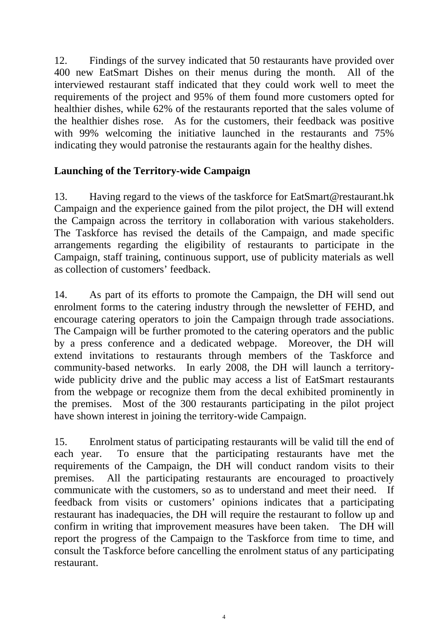12. Findings of the survey indicated that 50 restaurants have provided over 400 new EatSmart Dishes on their menus during the month. All of the interviewed restaurant staff indicated that they could work well to meet the requirements of the project and 95% of them found more customers opted for healthier dishes, while 62% of the restaurants reported that the sales volume of the healthier dishes rose. As for the customers, their feedback was positive with 99% welcoming the initiative launched in the restaurants and 75% indicating they would patronise the restaurants again for the healthy dishes.

#### **Launching of the Territory-wide Campaign**

13. Having regard to the views of the taskforce for EatSmart@restaurant.hk Campaign and the experience gained from the pilot project, the DH will extend the Campaign across the territory in collaboration with various stakeholders. The Taskforce has revised the details of the Campaign, and made specific arrangements regarding the eligibility of restaurants to participate in the Campaign, staff training, continuous support, use of publicity materials as well as collection of customers' feedback.

14. As part of its efforts to promote the Campaign, the DH will send out enrolment forms to the catering industry through the newsletter of FEHD, and encourage catering operators to join the Campaign through trade associations. The Campaign will be further promoted to the catering operators and the public by a press conference and a dedicated webpage. Moreover, the DH will extend invitations to restaurants through members of the Taskforce and community-based networks. In early 2008, the DH will launch a territorywide publicity drive and the public may access a list of EatSmart restaurants from the webpage or recognize them from the decal exhibited prominently in the premises. Most of the 300 restaurants participating in the pilot project have shown interest in joining the territory-wide Campaign.

15. Enrolment status of participating restaurants will be valid till the end of each year. To ensure that the participating restaurants have met the requirements of the Campaign, the DH will conduct random visits to their premises. All the participating restaurants are encouraged to proactively communicate with the customers, so as to understand and meet their need. If feedback from visits or customers' opinions indicates that a participating restaurant has inadequacies, the DH will require the restaurant to follow up and confirm in writing that improvement measures have been taken. The DH will report the progress of the Campaign to the Taskforce from time to time, and consult the Taskforce before cancelling the enrolment status of any participating restaurant.